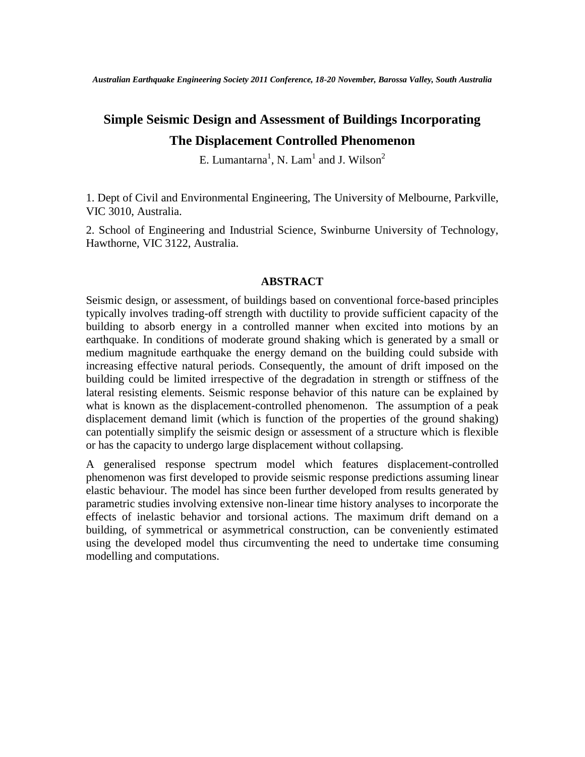*Australian Earthquake Engineering Society 2011 Conference, 18-20 November, Barossa Valley, South Australia*

# **Simple Seismic Design and Assessment of Buildings Incorporating The Displacement Controlled Phenomenon**

E. Lumantarna<sup>1</sup>, N. Lam<sup>1</sup> and J. Wilson<sup>2</sup>

1. Dept of Civil and Environmental Engineering, The University of Melbourne, Parkville, VIC 3010, Australia.

2. School of Engineering and Industrial Science, Swinburne University of Technology, Hawthorne, VIC 3122, Australia.

## **ABSTRACT**

Seismic design, or assessment, of buildings based on conventional force-based principles typically involves trading-off strength with ductility to provide sufficient capacity of the building to absorb energy in a controlled manner when excited into motions by an earthquake. In conditions of moderate ground shaking which is generated by a small or medium magnitude earthquake the energy demand on the building could subside with increasing effective natural periods. Consequently, the amount of drift imposed on the building could be limited irrespective of the degradation in strength or stiffness of the lateral resisting elements. Seismic response behavior of this nature can be explained by what is known as the displacement-controlled phenomenon. The assumption of a peak displacement demand limit (which is function of the properties of the ground shaking) can potentially simplify the seismic design or assessment of a structure which is flexible or has the capacity to undergo large displacement without collapsing.

A generalised response spectrum model which features displacement-controlled phenomenon was first developed to provide seismic response predictions assuming linear elastic behaviour. The model has since been further developed from results generated by parametric studies involving extensive non-linear time history analyses to incorporate the effects of inelastic behavior and torsional actions. The maximum drift demand on a building, of symmetrical or asymmetrical construction, can be conveniently estimated using the developed model thus circumventing the need to undertake time consuming modelling and computations.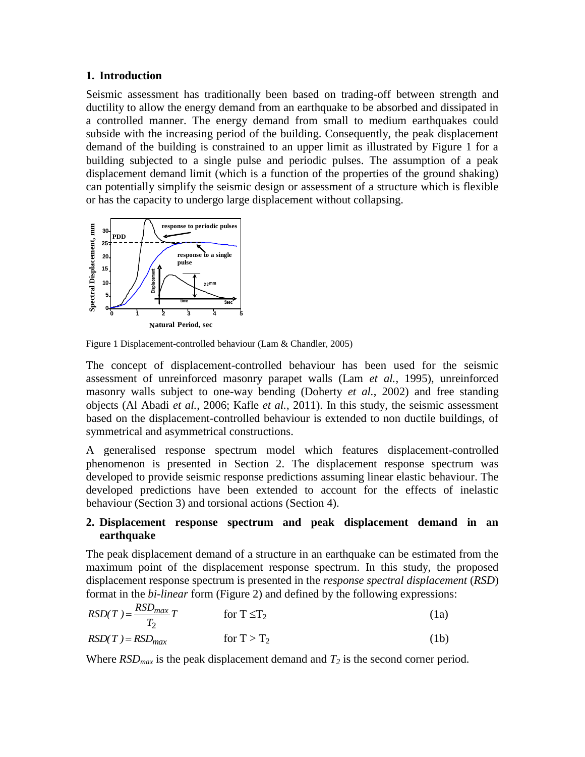## **1. Introduction**

Seismic assessment has traditionally been based on trading-off between strength and ductility to allow the energy demand from an earthquake to be absorbed and dissipated in a controlled manner. The energy demand from small to medium earthquakes could subside with the increasing period of the building. Consequently, the peak displacement demand of the building is constrained to an upper limit as illustrated by Figure 1 for a building subjected to a single pulse and periodic pulses. The assumption of a peak displacement demand limit (which is a function of the properties of the ground shaking) can potentially simplify the seismic design or assessment of a structure which is flexible or has the capacity to undergo large displacement without collapsing.



Figure 1 Displacement-controlled behaviour (Lam & Chandler, 2005)

The concept of displacement-controlled behaviour has been used for the seismic assessment of unreinforced masonry parapet walls (Lam *et al.*, 1995), unreinforced masonry walls subject to one-way bending (Doherty *et al.*, 2002) and free standing objects (Al Abadi *et al.*, 2006; Kafle *et al.*, 2011). In this study, the seismic assessment based on the displacement-controlled behaviour is extended to non ductile buildings, of symmetrical and asymmetrical constructions.

A generalised response spectrum model which features displacement-controlled phenomenon is presented in Section 2. The displacement response spectrum was developed to provide seismic response predictions assuming linear elastic behaviour. The developed predictions have been extended to account for the effects of inelastic behaviour (Section 3) and torsional actions (Section 4).

## **2. Displacement response spectrum and peak displacement demand in an earthquake**

The peak displacement demand of a structure in an earthquake can be estimated from the maximum point of the displacement response spectrum. In this study, the proposed displacement response spectrum is presented in the *response spectral displacement* (*RSD*) format in the *bi-linear* form (Figure 2) and defined by the following expressions:

$$
RSD(T) = \frac{RSD_{max}}{T_2}T
$$
 for  $T \le T_2$  (1a)  
\n
$$
RSD(T) = RSD_{max}
$$
 for  $T > T_2$  (1b)

Where  $RSD_{max}$  is the peak displacement demand and  $T_2$  is the second corner period.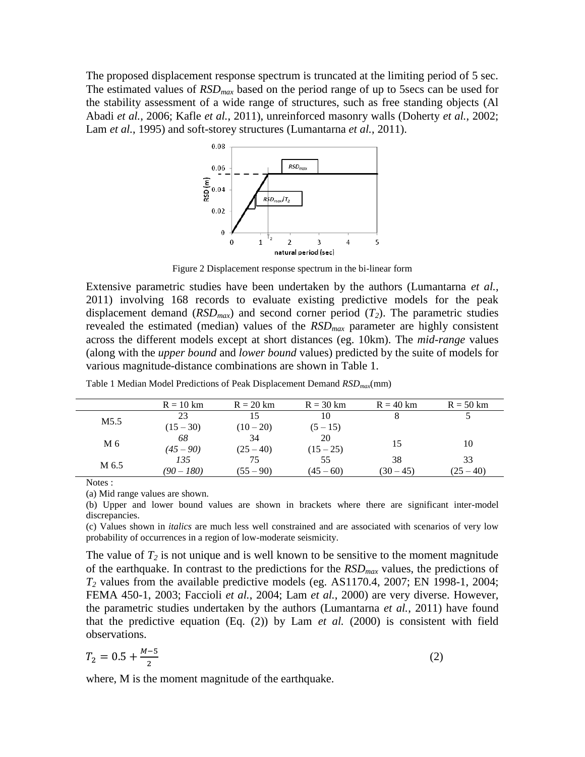The proposed displacement response spectrum is truncated at the limiting period of 5 sec. The estimated values of *RSDmax* based on the period range of up to 5secs can be used for the stability assessment of a wide range of structures, such as free standing objects (Al Abadi *et al.*, 2006; Kafle *et al.*, 2011), unreinforced masonry walls (Doherty *et al.*, 2002; Lam *et al.*, 1995) and soft-storey structures (Lumantarna *et al.*, 2011).



Figure 2 Displacement response spectrum in the bi-linear form

Extensive parametric studies have been undertaken by the authors (Lumantarna *et al.*, 2011) involving 168 records to evaluate existing predictive models for the peak displacement demand  $(RSD_{max})$  and second corner period  $(T_2)$ . The parametric studies revealed the estimated (median) values of the *RSDmax* parameter are highly consistent across the different models except at short distances (eg. 10km). The *mid-range* values (along with the *upper bound* and *lower bound* values) predicted by the suite of models for various magnitude-distance combinations are shown in Table 1.

|       | $R = 10$ km | $R = 20$ km | $R = 30$ km | $R = 40$ km | $R = 50$ km |
|-------|-------------|-------------|-------------|-------------|-------------|
| M5.5  | 23          | 15          | 10          |             |             |
|       | $(15 - 30)$ | $(10-20)$   | $(5 - 15)$  |             |             |
| M 6   | 68          | 34          | 20          | 15          | 10          |
|       | $(45 - 90)$ | $(25 - 40)$ | $(15 - 25)$ |             |             |
| M 6.5 | 135         | 75          | 55          | 38          | 33          |
|       | (90 – 180)  | $(55 - 90)$ | $(45 - 60)$ | $(30 - 45)$ | $(25 - 40)$ |

Table 1 Median Model Predictions of Peak Displacement Demand *RSDmax*(mm)

Notes :

(a) Mid range values are shown.

(b) Upper and lower bound values are shown in brackets where there are significant inter-model discrepancies.

(c) Values shown in *italics* are much less well constrained and are associated with scenarios of very low probability of occurrences in a region of low-moderate seismicity.

The value of  $T_2$  is not unique and is well known to be sensitive to the moment magnitude of the earthquake. In contrast to the predictions for the *RSDmax* values, the predictions of *T<sup>2</sup>* values from the available predictive models (eg. AS1170.4, 2007; EN 1998-1, 2004; FEMA 450-1, 2003; Faccioli *et al.*, 2004; Lam *et al.*, 2000) are very diverse. However, the parametric studies undertaken by the authors (Lumantarna *et al.*, 2011) have found that the predictive equation  $(Eq, (2))$  by Lam *et al.* (2000) is consistent with field observations.

$$
T_2 = 0.5 + \frac{M-5}{2} \tag{2}
$$

where, M is the moment magnitude of the earthquake.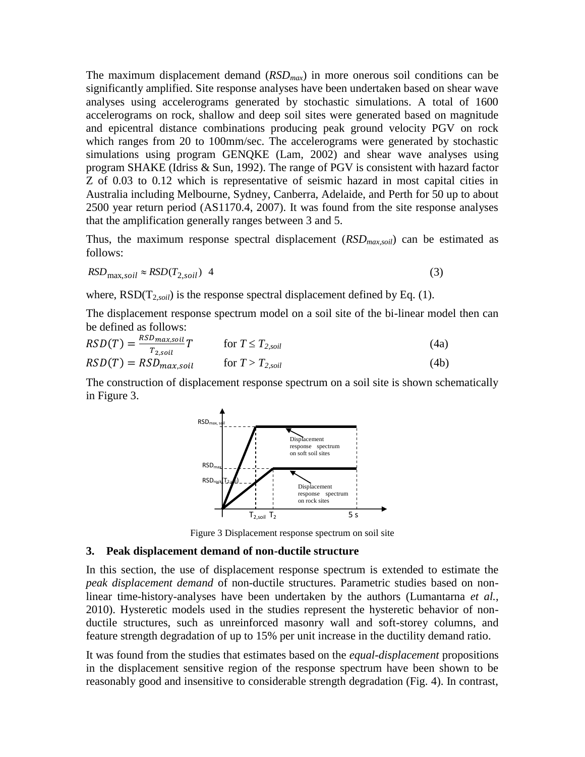The maximum displacement demand (*RSDmax*) in more onerous soil conditions can be significantly amplified. Site response analyses have been undertaken based on shear wave analyses using accelerograms generated by stochastic simulations. A total of 1600 accelerograms on rock, shallow and deep soil sites were generated based on magnitude and epicentral distance combinations producing peak ground velocity PGV on rock which ranges from 20 to 100mm/sec. The accelerograms were generated by stochastic simulations using program GENQKE (Lam*,* 2002) and shear wave analyses using program SHAKE (Idriss & Sun, 1992). The range of PGV is consistent with hazard factor Z of 0.03 to 0.12 which is representative of seismic hazard in most capital cities in Australia including Melbourne, Sydney, Canberra, Adelaide, and Perth for 50 up to about 2500 year return period (AS1170.4, 2007). It was found from the site response analyses that the amplification generally ranges between 3 and 5.

Thus, the maximum response spectral displacement (*RSDmax,soil*) can be estimated as follows:

$$
RSD_{\text{max},soil} \approx RSD(T_{2,soil}) \quad 4 \tag{3}
$$

where,  $RSD(T_{2,soil})$  is the response spectral displacement defined by Eq. (1).

The displacement response spectrum model on a soil site of the bi-linear model then can be defined as follows:

$$
RSD(T) = \frac{RSD_{max, soil}}{T_{2, soil}} T \qquad \text{for } T \le T_{2, soil}
$$
\n(4a)

$$
RSD(T) = RSD_{max, soil} \qquad \text{for } T > T_{2, soil} \tag{4b}
$$

The construction of displacement response spectrum on a soil site is shown schematically in Figure 3.



Figure 3 Displacement response spectrum on soil site

### **3. Peak displacement demand of non-ductile structure**

In this section, the use of displacement response spectrum is extended to estimate the *peak displacement demand* of non-ductile structures. Parametric studies based on nonlinear time-history-analyses have been undertaken by the authors (Lumantarna *et al.*, 2010). Hysteretic models used in the studies represent the hysteretic behavior of nonductile structures, such as unreinforced masonry wall and soft-storey columns, and feature strength degradation of up to 15% per unit increase in the ductility demand ratio.

It was found from the studies that estimates based on the *equal-displacement* propositions in the displacement sensitive region of the response spectrum have been shown to be reasonably good and insensitive to considerable strength degradation (Fig. 4). In contrast,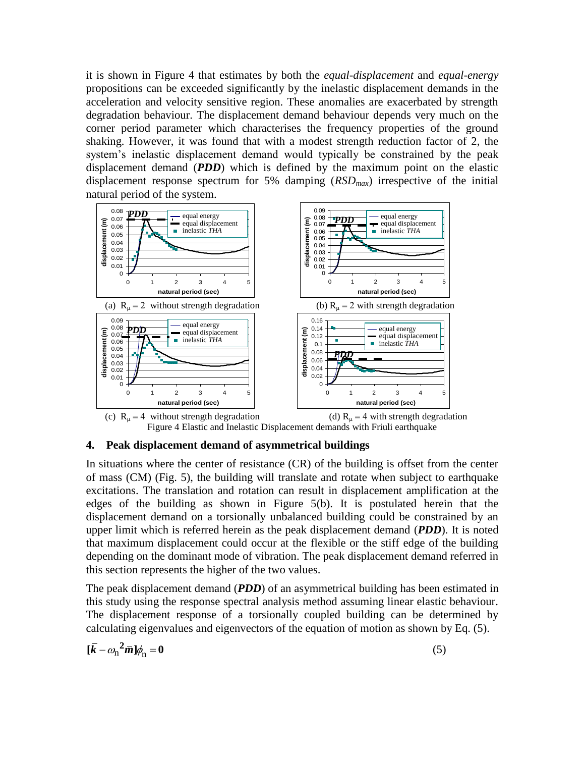it is shown in Figure 4 that estimates by both the *equal-displacement* and *equal-energy* propositions can be exceeded significantly by the inelastic displacement demands in the acceleration and velocity sensitive region. These anomalies are exacerbated by strength degradation behaviour. The displacement demand behaviour depends very much on the corner period parameter which characterises the frequency properties of the ground shaking. However, it was found that with a modest strength reduction factor of 2, the system's inelastic displacement demand would typically be constrained by the peak displacement demand (*PDD*) which is defined by the maximum point on the elastic displacement response spectrum for 5% damping (*RSDmax*) irrespective of the initial natural period of the system.



## **4. Peak displacement demand of asymmetrical buildings**

In situations where the center of resistance (CR) of the building is offset from the center of mass (CM) (Fig. 5), the building will translate and rotate when subject to earthquake excitations. The translation and rotation can result in displacement amplification at the edges of the building as shown in Figure 5(b). It is postulated herein that the displacement demand on a torsionally unbalanced building could be constrained by an upper limit which is referred herein as the peak displacement demand (*PDD*). It is noted that maximum displacement could occur at the flexible or the stiff edge of the building depending on the dominant mode of vibration. The peak displacement demand referred in this section represents the higher of the two values.

The peak displacement demand (*PDD*) of an asymmetrical building has been estimated in this study using the response spectral analysis method assuming linear elastic behaviour. The displacement response of a torsionally coupled building can be determined by calculating eigenvalues and eigenvectors of the equation of motion as shown by Eq. (5).

$$
[\bar{k} - \omega_{\rm n}^2 \bar{m}] \phi_{\rm n} = 0 \tag{5}
$$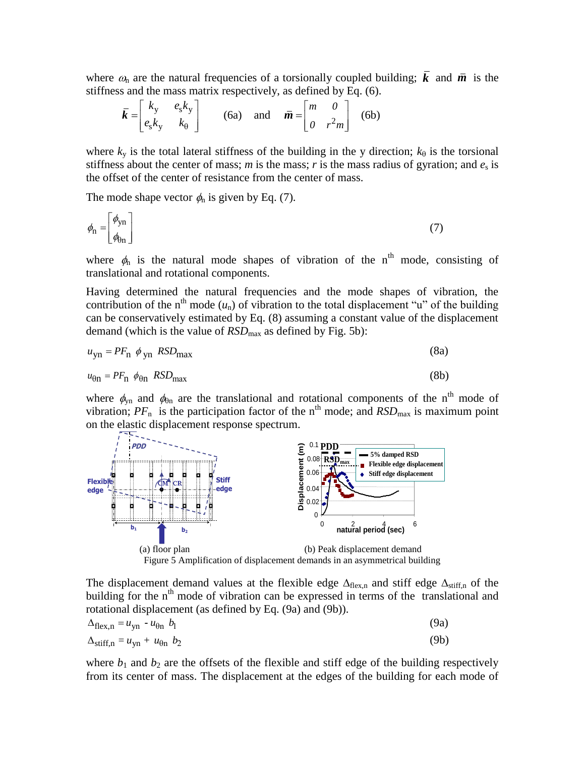where  $\omega_n$  are the natural frequencies of a torsionally coupled building;  $k$  and  $\bar{m}$  is the stiffness and the mass matrix respectively, as defined by Eq. (6).

$$
\bar{k} = \begin{bmatrix} k_y & e_s k_y \\ e_s k_y & k_\theta \end{bmatrix} \qquad \text{(6a)} \quad \text{and} \quad \bar{m} = \begin{bmatrix} m & 0 \\ 0 & r^2 m \end{bmatrix} \quad \text{(6b)}
$$

where  $k_y$  is the total lateral stiffness of the building in the y direction;  $k_\theta$  is the torsional stiffness about the center of mass; *m* is the mass; *r* is the mass radius of gyration; and  $e_s$  is the offset of the center of resistance from the center of mass.

The mode shape vector  $\phi_n$  is given by Eq. (7).

$$
\phi_{\rm n} = \begin{bmatrix} \phi_{\rm yn} \\ \phi_{\rm bn} \end{bmatrix} \tag{7}
$$

where  $\phi_n$  is the natural mode shapes of vibration of the n<sup>th</sup> mode, consisting of translational and rotational components.

Having determined the natural frequencies and the mode shapes of vibration, the contribution of the n<sup>th</sup> mode  $(u_n)$  of vibration to the total displacement "u" of the building can be conservatively estimated by Eq. (8) assuming a constant value of the displacement demand (which is the value of *RSD*<sub>max</sub> as defined by Fig. 5b):

$$
u_{\rm yn} = PF_{\rm n} \phi_{\rm yn} RSD_{\rm max}
$$
 (8a)

$$
u_{\theta n} = PF_n \phi_{\theta n} RSD_{\text{max}} \tag{8b}
$$

where  $\phi_{yn}$  and  $\phi_{0n}$  are the translational and rotational components of the n<sup>th</sup> mode of vibration;  $PF_n$  is the participation factor of the n<sup>th</sup> mode; and  $RSD_{\text{max}}$  is maximum point on the elastic displacement response spectrum.



Figure 5 Amplification of displacement demands in an asymmetrical building

The displacement demand values at the flexible edge  $\Delta_{flex,n}$  and stiff edge  $\Delta_{stiff,n}$  of the building for the  $n<sup>th</sup>$  mode of vibration can be expressed in terms of the translational and rotational displacement (as defined by Eq. (9a) and (9b)).

$$
\Delta_{\text{flex},n} = u_{yn} - u_{\theta n} b_1 \tag{9a}
$$

$$
\Delta_{\text{stiff,n}} = u_{\text{yn}} + u_{\text{0n}} \quad b_2 \tag{9b}
$$

where  $b_1$  and  $b_2$  are the offsets of the flexible and stiff edge of the building respectively from its center of mass. The displacement at the edges of the building for each mode of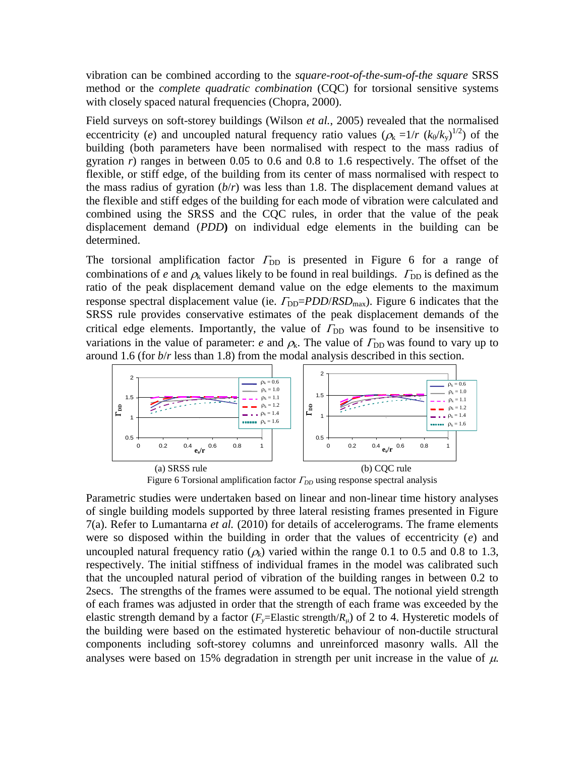vibration can be combined according to the *square-root-of-the-sum-of-the square* SRSS method or the *complete quadratic combination* (CQC) for torsional sensitive systems with closely spaced natural frequencies (Chopra, 2000).

Field surveys on soft-storey buildings (Wilson *et al.*, 2005) revealed that the normalised eccentricity (*e*) and uncoupled natural frequency ratio values ( $\rho_k = 1/r (k_\theta / k_y)^{1/2}$ ) of the building (both parameters have been normalised with respect to the mass radius of gyration *r*) ranges in between 0.05 to 0.6 and 0.8 to 1.6 respectively. The offset of the flexible, or stiff edge, of the building from its center of mass normalised with respect to the mass radius of gyration  $(b/r)$  was less than 1.8. The displacement demand values at the flexible and stiff edges of the building for each mode of vibration were calculated and combined using the SRSS and the CQC rules, in order that the value of the peak displacement demand (*PDD***)** on individual edge elements in the building can be determined.

The torsional amplification factor  $\Gamma_{DD}$  is presented in Figure 6 for a range of combinations of *e* and  $\rho_k$  values likely to be found in real buildings.  $\Gamma_{\text{DD}}$  is defined as the ratio of the peak displacement demand value on the edge elements to the maximum response spectral displacement value (ie.  $\Gamma_{DD} = PDD/RSD_{max}$ ). Figure 6 indicates that the SRSS rule provides conservative estimates of the peak displacement demands of the critical edge elements. Importantly, the value of  $\Gamma_{DD}$  was found to be insensitive to variations in the value of parameter: *e* and  $\rho_k$ . The value of  $\Gamma_{DD}$  was found to vary up to around 1.6 (for *b*/*r* less than 1.8) from the modal analysis described in this section.



Figure 6 Torsional amplification factor  $\Gamma_{DD}$  using response spectral analysis

Parametric studies were undertaken based on linear and non-linear time history analyses of single building models supported by three lateral resisting frames presented in Figure 7(a). Refer to Lumantarna *et al.* (2010) for details of accelerograms. The frame elements were so disposed within the building in order that the values of eccentricity (*e*) and uncoupled natural frequency ratio  $(\rho_k)$  varied within the range 0.1 to 0.5 and 0.8 to 1.3, respectively. The initial stiffness of individual frames in the model was calibrated such that the uncoupled natural period of vibration of the building ranges in between 0.2 to 2secs. The strengths of the frames were assumed to be equal. The notional yield strength of each frames was adjusted in order that the strength of each frame was exceeded by the elastic strength demand by a factor  $(F_v = \text{Elastic strength}/R_u)$  of 2 to 4. Hysteretic models of the building were based on the estimated hysteretic behaviour of non-ductile structural components including soft-storey columns and unreinforced masonry walls. All the analyses were based on 15% degradation in strength per unit increase in the value of  $\mu$ .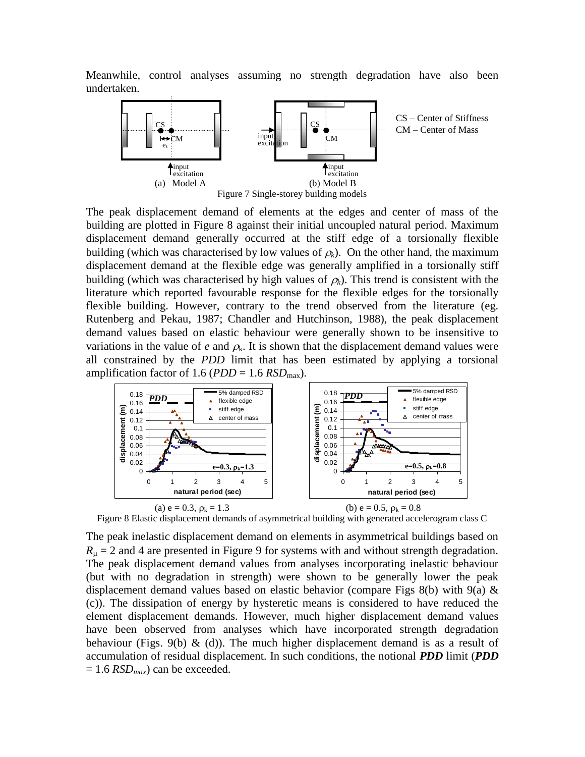Meanwhile, control analyses assuming no strength degradation have also been undertaken.



The peak displacement demand of elements at the edges and center of mass of the building are plotted in Figure 8 against their initial uncoupled natural period. Maximum displacement demand generally occurred at the stiff edge of a torsionally flexible building (which was characterised by low values of  $\rho_k$ ). On the other hand, the maximum displacement demand at the flexible edge was generally amplified in a torsionally stiff building (which was characterised by high values of  $\rho_k$ ). This trend is consistent with the literature which reported favourable response for the flexible edges for the torsionally flexible building. However, contrary to the trend observed from the literature (eg. Rutenberg and Pekau, 1987; Chandler and Hutchinson, 1988), the peak displacement demand values based on elastic behaviour were generally shown to be insensitive to variations in the value of  $e$  and  $\rho_k$ . It is shown that the displacement demand values were all constrained by the *PDD* limit that has been estimated by applying a torsional amplification factor of 1.6 ( $PDD = 1.6 RSD_{\text{max}}$ ).



Figure 8 Elastic displacement demands of asymmetrical building with generated accelerogram class C

The peak inelastic displacement demand on elements in asymmetrical buildings based on  $R_{\mu}$  = 2 and 4 are presented in Figure 9 for systems with and without strength degradation. The peak displacement demand values from analyses incorporating inelastic behaviour (but with no degradation in strength) were shown to be generally lower the peak displacement demand values based on elastic behavior (compare Figs 8(b) with 9(a)  $\&$ (c)). The dissipation of energy by hysteretic means is considered to have reduced the element displacement demands. However, much higher displacement demand values have been observed from analyses which have incorporated strength degradation behaviour (Figs. 9(b)  $\&$  (d)). The much higher displacement demand is as a result of accumulation of residual displacement. In such conditions, the notional *PDD* limit (*PDD*  $= 1.6 RSD<sub>max</sub>$  can be exceeded.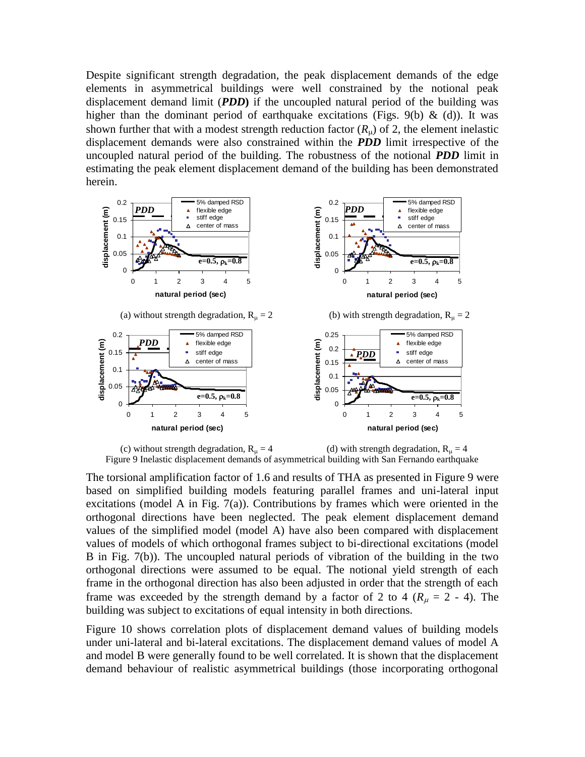Despite significant strength degradation, the peak displacement demands of the edge elements in asymmetrical buildings were well constrained by the notional peak displacement demand limit (*PDD***)** if the uncoupled natural period of the building was higher than the dominant period of earthquake excitations (Figs. 9(b)  $\&$  (d)). It was shown further that with a modest strength reduction factor  $(R<sub>u</sub>)$  of 2, the element inelastic displacement demands were also constrained within the *PDD* limit irrespective of the uncoupled natural period of the building. The robustness of the notional *PDD* limit in estimating the peak element displacement demand of the building has been demonstrated herein.



Figure 9 Inelastic displacement demands of asymmetrical building with San Fernando earthquake

The torsional amplification factor of 1.6 and results of THA as presented in Figure 9 were based on simplified building models featuring parallel frames and uni-lateral input excitations (model A in Fig. 7(a)). Contributions by frames which were oriented in the orthogonal directions have been neglected. The peak element displacement demand values of the simplified model (model A) have also been compared with displacement values of models of which orthogonal frames subject to bi-directional excitations (model B in Fig. 7(b)). The uncoupled natural periods of vibration of the building in the two orthogonal directions were assumed to be equal. The notional yield strength of each frame in the orthogonal direction has also been adjusted in order that the strength of each frame was exceeded by the strength demand by a factor of 2 to 4 ( $R_u = 2$  - 4). The building was subject to excitations of equal intensity in both directions.

Figure 10 shows correlation plots of displacement demand values of building models under uni-lateral and bi-lateral excitations. The displacement demand values of model A and model B were generally found to be well correlated. It is shown that the displacement demand behaviour of realistic asymmetrical buildings (those incorporating orthogonal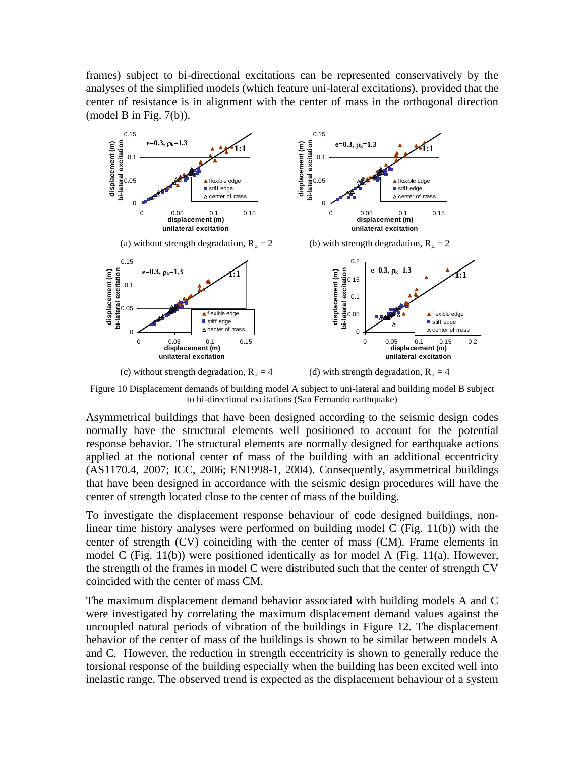frames) subject to bi-directional excitations can be represented conservatively by the analyses of the simplified models (which feature uni-lateral excitations), provided that the center of resistance is in alignment with the center of mass in the orthogonal direction (model B in Fig.  $7(b)$ ).



Figure 10 Displacement demands of building model A subject to uni-lateral and building model B subject to bi-directional excitations (San Fernando earthquake)

Asymmetrical buildings that have been designed according to the seismic design codes normally have the structural elements well positioned to account for the potential response behavior. The structural elements are normally designed for earthquake actions applied at the notional center of mass of the building with an additional eccentricity (AS1170.4, 2007; ICC, 2006; EN1998-1, 2004). Consequently, asymmetrical buildings that have been designed in accordance with the seismic design procedures will have the center of strength located close to the center of mass of the building.

To investigate the displacement response behaviour of code designed buildings, nonlinear time history analyses were performed on building model C (Fig. 11(b)) with the center of strength (CV) coinciding with the center of mass (CM). Frame elements in model C (Fig. 11(b)) were positioned identically as for model A (Fig. 11(a). However, the strength of the frames in model C were distributed such that the center of strength CV coincided with the center of mass CM.

The maximum displacement demand behavior associated with building models A and C were investigated by correlating the maximum displacement demand values against the uncoupled natural periods of vibration of the buildings in Figure 12. The displacement behavior of the center of mass of the buildings is shown to be similar between models A and C. However, the reduction in strength eccentricity is shown to generally reduce the torsional response of the building especially when the building has been excited well into inelastic range. The observed trend is expected as the displacement behaviour of a system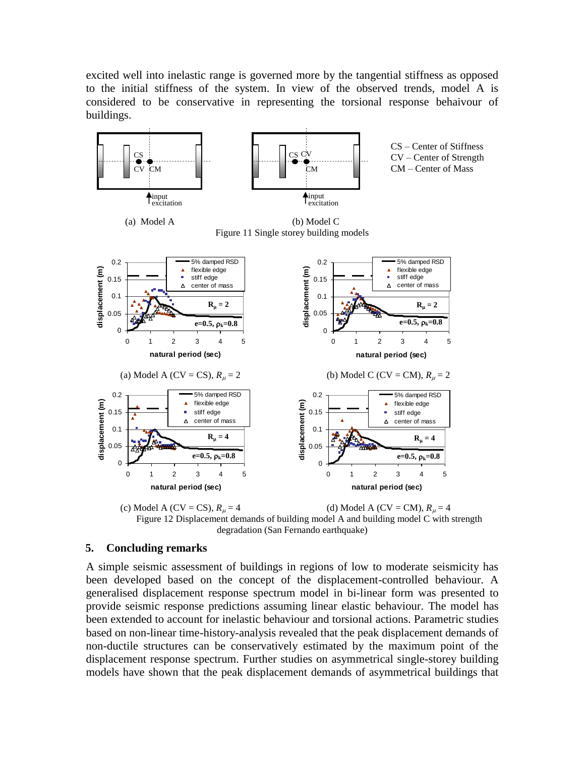excited well into inelastic range is governed more by the tangential stiffness as opposed to the initial stiffness of the system. In view of the observed trends, model A is considered to be conservative in representing the torsional response behaivour of buildings.



degradation (San Fernando earthquake)

### **5. Concluding remarks**

A simple seismic assessment of buildings in regions of low to moderate seismicity has been developed based on the concept of the displacement-controlled behaviour. A generalised displacement response spectrum model in bi-linear form was presented to provide seismic response predictions assuming linear elastic behaviour. The model has been extended to account for inelastic behaviour and torsional actions. Parametric studies based on non-linear time-history-analysis revealed that the peak displacement demands of non-ductile structures can be conservatively estimated by the maximum point of the displacement response spectrum. Further studies on asymmetrical single-storey building models have shown that the peak displacement demands of asymmetrical buildings that